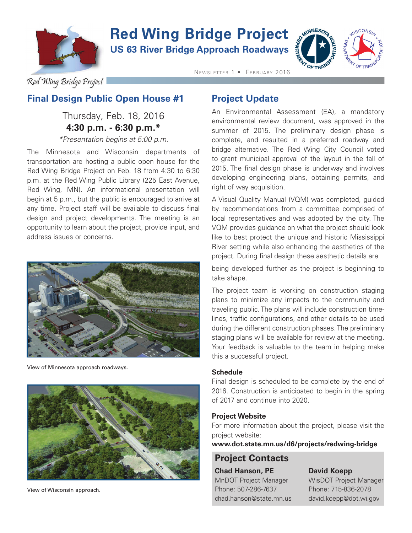

# **Red Wing Bridge Project**

**US 63 River Bridge Approach Roadways**



Red Wing Bridge Project

### **Final Design Public Open House #1**

## Thursday, Feb. 18, 2016 **4:30 p.m. - 6:30 p.m.\***

*\*Presentation begins at 5:00 p.m.*

The Minnesota and Wisconsin departments of transportation are hosting a public open house for the Red Wing Bridge Project on Feb. 18 from 4:30 to 6:30 p.m. at the Red Wing Public Library (225 East Avenue, Red Wing, MN). An informational presentation will begin at 5 p.m., but the public is encouraged to arrive at any time. Project staff will be available to discuss final design and project developments. The meeting is an opportunity to learn about the project, provide input, and address issues or concerns.



View of Minnesota approach roadways.



View of Wisconsin approach.

### **Project Update**

NEWSLETTER 1 · FEBRUARY 2016

An Environmental Assessment (EA), a mandatory environmental review document, was approved in the summer of 2015. The preliminary design phase is complete, and resulted in a preferred roadway and bridge alternative. The Red Wing City Council voted to grant municipal approval of the layout in the fall of 2015. The final design phase is underway and involves developing engineering plans, obtaining permits, and right of way acquisition.

A Visual Quality Manual (VQM) was completed, guided by recommendations from a committee comprised of local representatives and was adopted by the city. The VQM provides guidance on what the project should look like to best protect the unique and historic Mississippi River setting while also enhancing the aesthetics of the project. During final design these aesthetic details are

being developed further as the project is beginning to take shape.

The project team is working on construction staging plans to minimize any impacts to the community and traveling public. The plans will include construction timelines, traffic configurations, and other details to be used during the different construction phases. The preliminary staging plans will be available for review at the meeting. Your feedback is valuable to the team in helping make this a successful project.

#### **Schedule**

Final design is scheduled to be complete by the end of 2016. Construction is anticipated to begin in the spring of 2017 and continue into 2020.

#### **Project Website**

For more information about the project, please visit the project website:

**www.dot.state.mn.us/d6/projects/redwing-bridge**

# **Project Contacts**

**Chad Hanson, PE David Koepp** MnDOT Project Manager WisDOT Project Manager Phone: 507-286-7637 Phone: 715-836-2078 chad.hanson@state.mn.us david.koepp@dot.wi.gov